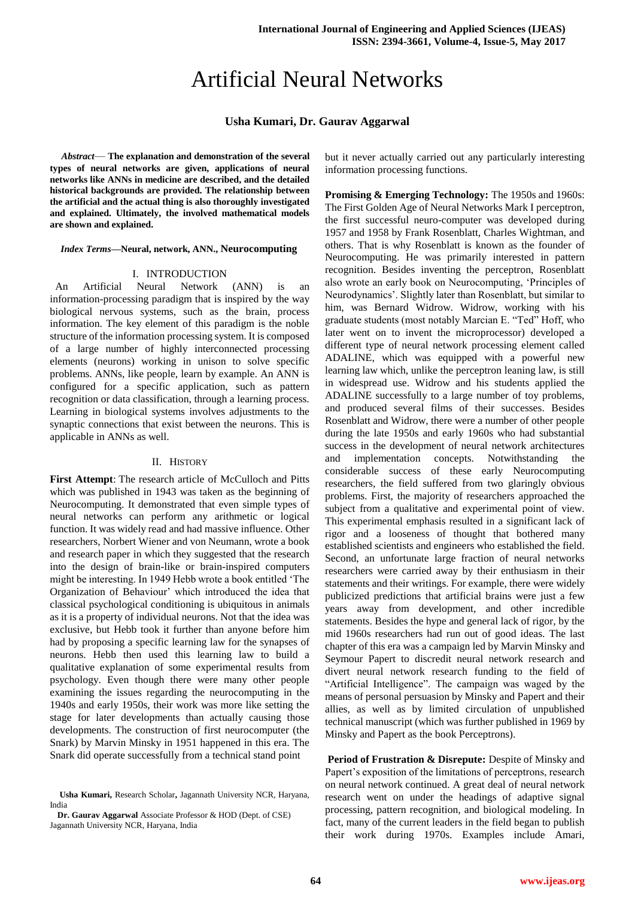# Artificial Neural Networks

## **Usha Kumari, Dr. Gaurav Aggarwal**

*Abstract*— **The explanation and demonstration of the several types of neural networks are given, applications of neural networks like ANNs in medicine are described, and the detailed historical backgrounds are provided. The relationship between the artificial and the actual thing is also thoroughly investigated and explained. Ultimately, the involved mathematical models are shown and explained.**

#### *Index Terms***—Neural, network, ANN., Neurocomputing**

#### I. INTRODUCTION

 An Artificial Neural Network (ANN) is an information-processing paradigm that is inspired by the way biological nervous systems, such as the brain, process information. The key element of this paradigm is the noble structure of the information processing system. It is composed of a large number of highly interconnected processing elements (neurons) working in unison to solve specific problems. ANNs, like people, learn by example. An ANN is configured for a specific application, such as pattern recognition or data classification, through a learning process. Learning in biological systems involves adjustments to the synaptic connections that exist between the neurons. This is applicable in ANNs as well.

## II. HISTORY

**First Attempt**: The research article of McCulloch and Pitts which was published in 1943 was taken as the beginning of Neurocomputing. It demonstrated that even simple types of neural networks can perform any arithmetic or logical function. It was widely read and had massive influence. Other researchers, Norbert Wiener and von Neumann, wrote a book and research paper in which they suggested that the research into the design of brain-like or brain-inspired computers might be interesting. In 1949 Hebb wrote a book entitled 'The Organization of Behaviour' which introduced the idea that classical psychological conditioning is ubiquitous in animals as it is a property of individual neurons. Not that the idea was exclusive, but Hebb took it further than anyone before him had by proposing a specific learning law for the synapses of neurons. Hebb then used this learning law to build a qualitative explanation of some experimental results from psychology. Even though there were many other people examining the issues regarding the neurocomputing in the 1940s and early 1950s, their work was more like setting the stage for later developments than actually causing those developments. The construction of first neurocomputer (the Snark) by Marvin Minsky in 1951 happened in this era. The Snark did operate successfully from a technical stand point

**Dr. Gaurav Aggarwal** Associate Professor & HOD (Dept. of CSE) Jagannath University NCR, Haryana, India

but it never actually carried out any particularly interesting information processing functions.

**Promising & Emerging Technology:** The 1950s and 1960s: The First Golden Age of Neural Networks Mark I perceptron, the first successful neuro-computer was developed during 1957 and 1958 by Frank Rosenblatt, Charles Wightman, and others. That is why Rosenblatt is known as the founder of Neurocomputing. He was primarily interested in pattern recognition. Besides inventing the perceptron, Rosenblatt also wrote an early book on Neurocomputing, 'Principles of Neurodynamics'. Slightly later than Rosenblatt, but similar to him, was Bernard Widrow. Widrow, working with his graduate students (most notably Marcian E. "Ted" Hoff, who later went on to invent the microprocessor) developed a different type of neural network processing element called ADALINE, which was equipped with a powerful new learning law which, unlike the perceptron leaning law, is still in widespread use. Widrow and his students applied the ADALINE successfully to a large number of toy problems, and produced several films of their successes. Besides Rosenblatt and Widrow, there were a number of other people during the late 1950s and early 1960s who had substantial success in the development of neural network architectures and implementation concepts. Notwithstanding the considerable success of these early Neurocomputing researchers, the field suffered from two glaringly obvious problems. First, the majority of researchers approached the subject from a qualitative and experimental point of view. This experimental emphasis resulted in a significant lack of rigor and a looseness of thought that bothered many established scientists and engineers who established the field. Second, an unfortunate large fraction of neural networks researchers were carried away by their enthusiasm in their statements and their writings. For example, there were widely publicized predictions that artificial brains were just a few years away from development, and other incredible statements. Besides the hype and general lack of rigor, by the mid 1960s researchers had run out of good ideas. The last chapter of this era was a campaign led by Marvin Minsky and Seymour Papert to discredit neural network research and divert neural network research funding to the field of "Artificial Intelligence". The campaign was waged by the means of personal persuasion by Minsky and Papert and their allies, as well as by limited circulation of unpublished technical manuscript (which was further published in 1969 by Minsky and Papert as the book Perceptrons).

**Period of Frustration & Disrepute:** Despite of Minsky and Papert's exposition of the limitations of perceptrons, research on neural network continued. A great deal of neural network research went on under the headings of adaptive signal processing, pattern recognition, and biological modeling. In fact, many of the current leaders in the field began to publish their work during 1970s. Examples include Amari,

**Usha Kumari,** Research Scholar**,** Jagannath University NCR, Haryana, India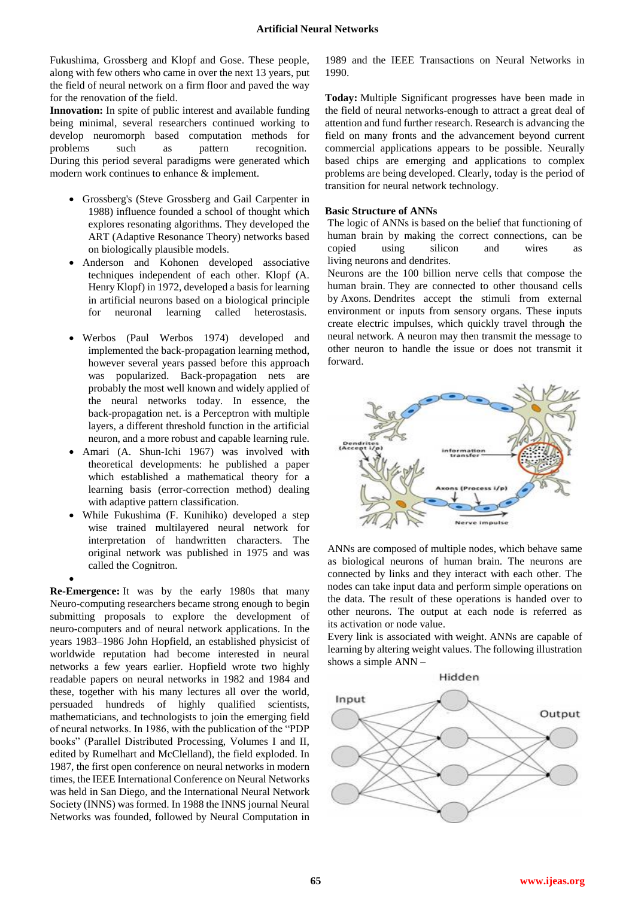Fukushima, Grossberg and Klopf and Gose. These people, along with few others who came in over the next 13 years, put the field of neural network on a firm floor and paved the way for the renovation of the field.

**Innovation:** In spite of public interest and available funding being minimal, several researchers continued working to develop neuromorph based computation methods for problems such as pattern recognition. During this period several paradigms were generated which modern work continues to enhance & implement.

- Grossberg's (Steve Grossberg and Gail Carpenter in 1988) influence founded a school of thought which explores resonating algorithms. They developed the ART (Adaptive Resonance Theory) networks based on biologically plausible models.
- Anderson and Kohonen developed associative techniques independent of each other. Klopf (A. Henry Klopf) in 1972, developed a basis for learning in artificial neurons based on a biological principle for neuronal learning called heterostasis.
- Werbos (Paul Werbos 1974) developed and implemented the back-propagation learning method, however several years passed before this approach was popularized. Back-propagation nets are probably the most well known and widely applied of the neural networks today. In essence, the back-propagation net. is a Perceptron with multiple layers, a different threshold function in the artificial neuron, and a more robust and capable learning rule.
- Amari (A. Shun-Ichi 1967) was involved with theoretical developments: he published a paper which established a mathematical theory for a learning basis (error-correction method) dealing with adaptive pattern classification.
- While Fukushima (F. Kunihiko) developed a step wise trained multilayered neural network for interpretation of handwritten characters. The original network was published in 1975 and was called the Cognitron.
- $\bullet$

**Re-Emergence:** It was by the early 1980s that many Neuro-computing researchers became strong enough to begin submitting proposals to explore the development of neuro-computers and of neural network applications. In the years 1983–1986 John Hopfield, an established physicist of worldwide reputation had become interested in neural networks a few years earlier. Hopfield wrote two highly readable papers on neural networks in 1982 and 1984 and these, together with his many lectures all over the world, persuaded hundreds of highly qualified scientists, mathematicians, and technologists to join the emerging field of neural networks. In 1986, with the publication of the "PDP books" (Parallel Distributed Processing, Volumes I and II, edited by Rumelhart and McClelland), the field exploded. In 1987, the first open conference on neural networks in modern times, the IEEE International Conference on Neural Networks was held in San Diego, and the International Neural Network Society (INNS) was formed. In 1988 the INNS journal Neural Networks was founded, followed by Neural Computation in

1989 and the IEEE Transactions on Neural Networks in 1990.

**Today:** Multiple Significant progresses have been made in the field of neural networks-enough to attract a great deal of attention and fund further research. Research is advancing the field on many fronts and the advancement beyond current commercial applications appears to be possible. Neurally based chips are emerging and applications to complex problems are being developed. Clearly, today is the period of transition for neural network technology.

## **Basic Structure of ANNs**

The logic of ANNs is based on the belief that functioning of human brain by making the correct connections, can be copied using silicon and wires as living neurons and dendrites.

Neurons are the 100 billion nerve cells that compose the human brain. They are connected to other thousand cells by Axons. Dendrites accept the stimuli from external environment or inputs from sensory organs. These inputs create electric impulses, which quickly travel through the neural network. A neuron may then transmit the message to other neuron to handle the issue or does not transmit it forward.



ANNs are composed of multiple nodes, which behave same as biological neurons of human brain. The neurons are connected by links and they interact with each other. The nodes can take input data and perform simple operations on the data. The result of these operations is handed over to other neurons. The output at each node is referred as its activation or node value.

Every link is associated with weight. ANNs are capable of learning by altering weight values. The following illustration shows a simple ANN –

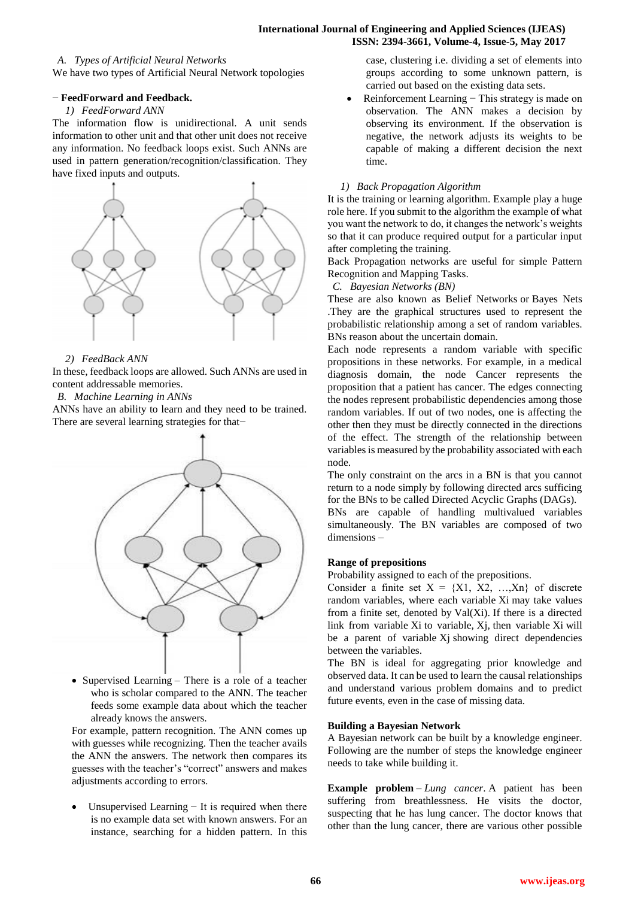#### **International Journal of Engineering and Applied Sciences (IJEAS) ISSN: 2394-3661, Volume-4, Issue-5, May 2017**

#### *A. Types of Artificial Neural Networks*

We have two types of Artificial Neural Network topologies

## − **FeedForward and Feedback.**

## *1) FeedForward ANN*

The information flow is unidirectional. A unit sends information to other unit and that other unit does not receive any information. No feedback loops exist. Such ANNs are used in pattern generation/recognition/classification. They have fixed inputs and outputs.



## *2) FeedBack ANN*

In these, feedback loops are allowed. Such ANNs are used in content addressable memories.

## *B. Machine Learning in ANNs*

ANNs have an ability to learn and they need to be trained. There are several learning strategies for that−



• Supervised Learning – There is a role of a teacher who is scholar compared to the ANN. The teacher feeds some example data about which the teacher already knows the answers.

For example, pattern recognition. The ANN comes up with guesses while recognizing. Then the teacher avails the ANN the answers. The network then compares its guesses with the teacher's "correct" answers and makes adjustments according to errors.

 Unsupervised Learning − It is required when there is no example data set with known answers. For an instance, searching for a hidden pattern. In this

case, clustering i.e. dividing a set of elements into groups according to some unknown pattern, is carried out based on the existing data sets.

 Reinforcement Learning − This strategy is made on observation. The ANN makes a decision by observing its environment. If the observation is negative, the network adjusts its weights to be capable of making a different decision the next time.

## *1) Back Propagation Algorithm*

It is the training or learning algorithm. Example play a huge role here. If you submit to the algorithm the example of what you want the network to do, it changes the network's weights so that it can produce required output for a particular input after completing the training.

Back Propagation networks are useful for simple Pattern Recognition and Mapping Tasks.

## *C. Bayesian Networks (BN)*

These are also known as Belief Networks or Bayes Nets .They are the graphical structures used to represent the probabilistic relationship among a set of random variables. BNs reason about the uncertain domain.

Each node represents a random variable with specific propositions in these networks. For example, in a medical diagnosis domain, the node Cancer represents the proposition that a patient has cancer. The edges connecting the nodes represent probabilistic dependencies among those random variables. If out of two nodes, one is affecting the other then they must be directly connected in the directions of the effect. The strength of the relationship between variables is measured by the probability associated with each node.

The only constraint on the arcs in a BN is that you cannot return to a node simply by following directed arcs sufficing for the BNs to be called Directed Acyclic Graphs (DAGs).

BNs are capable of handling multivalued variables simultaneously. The BN variables are composed of two dimensions –

## **Range of prepositions**

Probability assigned to each of the prepositions.

Consider a finite set  $X = \{X1, X2, \ldots, Xn\}$  of discrete random variables, where each variable Xi may take values from a finite set, denoted by Val(Xi). If there is a directed link from variable Xi to variable, Xi, then variable Xi will be a parent of variable Xj showing direct dependencies between the variables.

The BN is ideal for aggregating prior knowledge and observed data. It can be used to learn the causal relationships and understand various problem domains and to predict future events, even in the case of missing data.

#### **Building a Bayesian Network**

A Bayesian network can be built by a knowledge engineer. Following are the number of steps the knowledge engineer needs to take while building it.

**Example problem** – *Lung cancer*. A patient has been suffering from breathlessness. He visits the doctor, suspecting that he has lung cancer. The doctor knows that other than the lung cancer, there are various other possible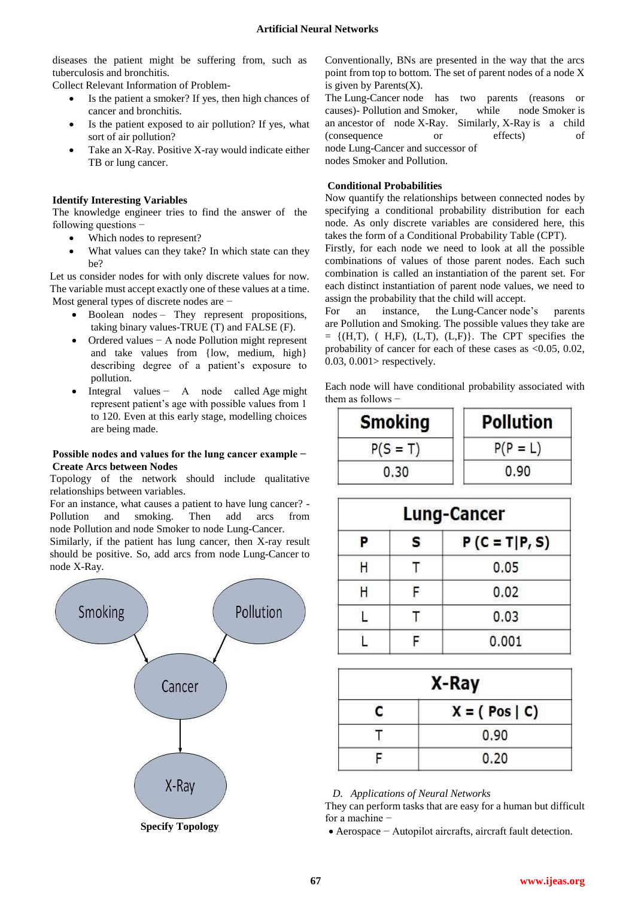diseases the patient might be suffering from, such as tuberculosis and bronchitis.

Collect Relevant Information of Problem-

- Is the patient a smoker? If yes, then high chances of cancer and bronchitis.
- Is the patient exposed to air pollution? If yes, what sort of air pollution?
- Take an X-Ray. Positive X-ray would indicate either TB or lung cancer.

# **Identify Interesting Variables**

The knowledge engineer tries to find the answer of the following questions −

- Which nodes to represent?
- What values can they take? In which state can they be?

Let us consider nodes for with only discrete values for now. The variable must accept exactly one of these values at a time. Most general types of discrete nodes are −

- Boolean nodes They represent propositions, taking binary values-TRUE (T) and FALSE (F).
- Ordered values − A node Pollution might represent and take values from {low, medium, high} describing degree of a patient's exposure to pollution.
- Integral values − A node called Age might represent patient's age with possible values from 1 to 120. Even at this early stage, modelling choices are being made.

## **Possible nodes and values for the lung cancer example − Create Arcs between Nodes**

Topology of the network should include qualitative relationships between variables.

For an instance, what causes a patient to have lung cancer? - Pollution and smoking. Then add arcs from node Pollution and node Smoker to node Lung-Cancer.

Similarly, if the patient has lung cancer, then X-ray result should be positive. So, add arcs from node Lung-Cancer to node X-Ray.



Conventionally, BNs are presented in the way that the arcs point from top to bottom. The set of parent nodes of a node X is given by Parents $(X)$ .

The Lung-Cancer node has two parents (reasons or causes)- Pollution and Smoker, while node Smoker is an ancestor of node X-Ray. Similarly, X-Ray is a child (consequence or effects) of node Lung-Cancer and successor of nodes Smoker and Pollution.

# **Conditional Probabilities**

Now quantify the relationships between connected nodes by specifying a conditional probability distribution for each node. As only discrete variables are considered here, this takes the form of a Conditional Probability Table (CPT).

Firstly, for each node we need to look at all the possible combinations of values of those parent nodes. Each such combination is called an instantiation of the parent set. For each distinct instantiation of parent node values, we need to assign the probability that the child will accept.

For an instance, the Lung-Cancer node's parents are Pollution and Smoking. The possible values they take are  $= \{ (H,T), (H,F), (L,T), (L,F) \}.$  The CPT specifies the probability of cancer for each of these cases as <0.05, 0.02, 0.03, 0.001> respectively.

Each node will have conditional probability associated with them as follows −

| <b>Smoking</b> | <b>Pollution</b> |
|----------------|------------------|
| $P(S = T)$     | $P(P = L)$       |
| 0.30           | 0.90             |

|   | <b>Lung-Cancer</b> |                   |  |
|---|--------------------|-------------------|--|
| P | s                  | $P(C = T   P, S)$ |  |
| Н |                    | 0.05              |  |
|   |                    | 0.02              |  |
|   |                    | 0.03              |  |
|   |                    | 0.001             |  |

| X-Ray |                 |  |
|-------|-----------------|--|
| г     | $X = (Pos   C)$ |  |
|       | 0.90            |  |
|       | 0.20            |  |

*D. Applications of Neural Networks*

They can perform tasks that are easy for a human but difficult for a machine −

Aerospace − Autopilot aircrafts, aircraft fault detection.